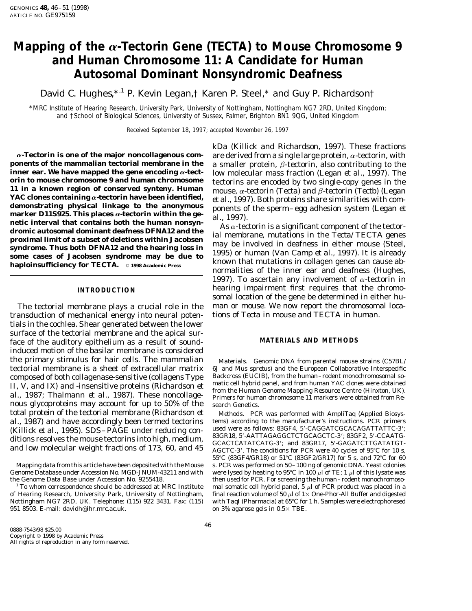# **Mapping of the a-Tectorin Gene (***TECTA***) to Mouse Chromosome 9 and Human Chromosome 11: A Candidate for Human Autosomal Dominant Nonsyndromic Deafness**

David C. Hughes,<sup>\*,1</sup> P. Kevin Legan,† Karen P. Steel,<sup>\*</sup> and Guy P. Richardson†

\**MRC Institute of Hearing Research, University Park, University of Nottingham, Nottingham NG7 2RD, United Kingdom; and* †*School of Biological Sciences, University of Sussex, Falmer, Brighton BN1 9QG, United Kingdom*

Received September 18, 1997; accepted November 26, 1997

 $\alpha$ **-Tectorin is one of the major noncollagenous com-** are derived from a single large protein,  $\alpha$ -tectorin, with **ponents of the mammalian tectorial membrane in the** a smaller protein. *A*-tectorin, also contributing **ponents of the mammalian tectorial membrane in the** a smaller protein,  $\beta$ -tectorin, also contributing to the **inner ear. We have mapped the gene encoding**  $\alpha$ **-tect**- low molecular mass fraction (Legan *et al.* 1997). Th **inner ear. We have mapped the gene encoding a-tect-** low molecular mass fraction (Legan *et al.,* 1997). The or in to mouse chromosome 9 and human chromosome<br>11 in a known region of conserved synteny. Human<br>11 in a known region of conserved synteny. Human<br>11 in a known region of conserved synteny. Human<br>11 in a known region of c marker D11S925. This places  $\alpha$ -tectorin within the ge-<br>netic interval that contains both the human nonsyn-<br>dromic autosomal dominant deafness DFNA12 and the<br>proximal limit of a subset of deletions within Jacobsen<br>syndro

transduction of mechanical energy into neural potentials in the cochlea. Shear generated between the lower surface of the tectorial membrane and the apical surface of the auditory epithelium as a result of sound-**MATERIALS AND METHODS** induced motion of the basilar membrane is considered the primary stimulus for hair cells. The mammalian *Materials.* Genomic DNA from parental mouse strains (C57BL/ tectorial membrane is a sheet of extracellular matrix 6J and *Mus spretus*) and the European Collaborative Interspecific composed of both collagenase-sensitive (collagens Type Backcross (EUCIB), from the human-rodent monochromosomal so-<br>II, V, and IX) and -insensitive proteins (Richardson *et* matic cell hybrid panel, and from human YAC clo nous glycoproteins may account for up to 50% of the search Genetics. total protein of the tectorial membrane (Richardson *et Methods.* PCR was performed with AmpliTaq (Applied Biosys*al.,* 1987) and have accordingly been termed tectorins tems) according to the manufacturer's instructions. PCR primers (Killick *et al.* 1995) SDS – PACF under reducing con-<br>(Killick *et al.* 1995) SDS – PACF under reduci

kDa (Killick and Richardson, 1997). These fractions

normalities of the inner ear and deafness (Hughes, 1997). To ascertain any involvement of  $\alpha$ -tectorin in hearing impairment first requires that the chromo- **INTRODUCTION** somal location of the gene be determined in either hu-The tectorial membrane plays a crucial role in the man or mouse. We now report the chromosomal loca-<br>ansduction of mechanical energy into neural poten-<br>tions of *Tecta* in mouse and *TECTA* in human.

(Killick *et al.*, 1995). SDS-PAGE under reducing con-<br>ditions resolves the mouse tectorins into high, medium,<br>and low molecular weight fractions of 173, 60, and 45 GCACTCATATCATG-3'; material sacrets of 95°C for 10 s, 55°C (83GF4/GR18) or 51°C (83GF2/GR17) for 5 s, and 72°C for 60 Mapping data from this article have been deposited with the Mouse s. PCR was performed on 50-100 ng of genomic DNA. Yeast colonies Genome Database under Accession No. MGD-JNUM-43211 and with were lysed by heating to 95°C in 100  $\mu$ l of TE; 1  $\mu$ l of this lysate was the Genome Data Base under Accession No. 9255418. then used for PCR. For screening the human–rodent monochromoso-<br><sup>1</sup> To whom correspondence should be addressed at MRC Institute and somatic cell hybrid panel, 5  $\mu$  of PC mal somatic cell hybrid panel,  $\overline{5}$   $\mu$ l of PCR product was placed in a of Hearing Research, University Park, University of Nottingham, final reaction volume of 50  $\mu$ l of 1× One-Phor-All Buffer and digested Nottingham NG7 2RD, UK. Telephone: (115) 922 3431. Fax: (115) with *Taq*I (Pharmacia Nottingham NG7 2RD, UK. Telephone: (115) 922 3431. Fax: (115) with *TaqI* (Pharmacia) at 65°C for 1 h. Samples were electrophoresed<br>951 8503. E-mail: davidh@ihr.mrc.ac.uk.<br>951 8503. E-mail: davidh@ihr.mrc.ac.uk. on 3% agarose gels in  $0.5 \times$  TBE.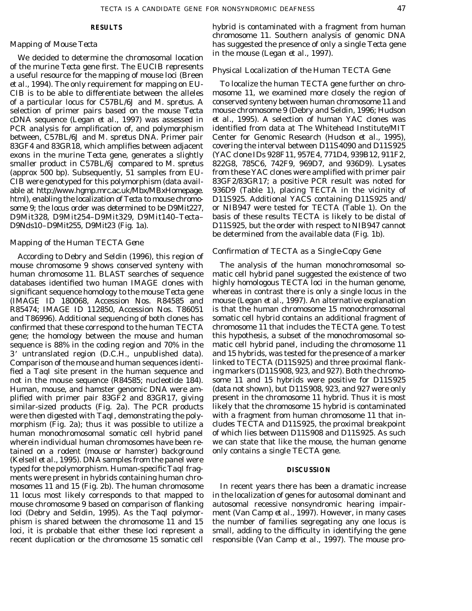in the mouse (Legan *et al.,* 1997). We decided to determine the chromosomal location of the murine *Tecta* gene first. The EUCIB represents *Physical Localization of the Human TECTA Gene* a useful resource for the mapping of mouse loci (Breen *et al.,* 1994). The only requirement for mapping on EU- To localize the human *TECTA* gene further on chro-CIB is to be able to differentiate between the alleles mosome 11, we examined more closely the region of of a particular locus for C57BL/6J and *M. spretus.* A conserved synteny between human chromosome 11 and selection of primer pairs based on the mouse *Tecta* mouse chromosome 9 (Debry and Seldin, 1996; Hudson cDNA sequence (Legan *et al.,* 1997) was assessed in PCR analysis for amplification of, and polymorphism identified from data at The Whitehead Institute/MIT between, C57BL/6J and *M. spretus* DNA. Primer pair Center for Genomic Research (Hudson *et al.,* 1995), 83GF4 and 83GR18, which amplifies between adjacent covering the interval between *D11S4090* and *D11S925* exons in the murine *Tecta* gene, generates a slightly (YAC clone IDs 928F11, 957E4, 771D4, 939B12, 911F2, smaller product in C57BL/6J compared to *M. spretus* 822G8, 785C6, 742F9, 969D7, and 936D9). Lysates (approx 500 bp). Subsequently, 51 samples from EU- from these YAC clones were amplified with primer pair CIB were genotyped for this polymorphism (data avail- 83GF2/83GR17; a positive PCR result was noted for able at http://www.hgmp.mrc.ac.uk/Mbx/MBxHomepage. 936D9 (Table 1), placing *TECTA* in the vicinity of html), enabling the localization of *Tecta* to mouse chromo- *D11S925.* Additional YACS containing *D11S925* and/ some 9; the locus order was determined to be *D9Mit227,* or *NIB947* were tested for *TECTA* (Table 1). On the *D9Mit328, D9Mit254–D9Mit329, D9Mit140–Tecta–* basis of these results TECTA is likely to be distal of *D9Nds10–D9Mit255, D9Mit23* (Fig. 1a). *D11S925,* but the order with respect to *NIB947* cannot

## *Mapping of the Human TECTA Gene*

*Confirmation of TECTA as a Single-Copy Gene* According to Debry and Seldin (1996), this region of mouse chromosome 9 shows conserved synteny with The analysis of the human monochromosomal sohuman chromosome 11. BLAST searches of sequence matic cell hybrid panel suggested the existence of two databases identified two human IMAGE clones with highly homologous *TECTA* loci in the human genome, significant sequence homology to the mouse *Tecta* gene whereas in contrast there is only a single locus in the (IMAGE ID 180068, Accession Nos. R84585 and mouse (Legan *et al.,* 1997). An alternative explanation R85474; IMAGE ID 112850, Accession Nos. T86051 is that the human chromosome 15 monochromosomal and T86996). Additional sequencing of both clones has somatic cell hybrid contains an additional fragment of confirmed that these correspond to the human *TECTA* chromosome 11 that includes the *TECTA* gene. To test gene; the homology between the mouse and human this hypothesis, a subset of the monochromosomal sosequence is 88% in the coding region and 70% in the matic cell hybrid panel, including the chromosome 11 3\* untranslated region (D.C.H., unpublished data). and 15 hybrids, was tested for the presence of a marker Comparison of the mouse and human sequences identi- linked to *TECTA* (*D11S925*) and three proximal flankfied a *Taq*I site present in the human sequence and ing markers (*D11S908, 923,* and *927*). Both the chromonot in the mouse sequence (R84585; nucleotide 184). some 11 and 15 hybrids were positive for *D11S925* Human, mouse, and hamster genomic DNA were amplified with primer pair 83GF2 and 83GR17, giving present in the chromosome 11 hybrid. Thus it is most similar-sized products (Fig. 2a). The PCR products likely that the chromosome 15 hybrid is contaminated were then digested with *Taq*I, demonstrating the poly- with a fragment from human chromosome 11 that inmorphism (Fig. 2a); thus it was possible to utilize a cludes *TECTA* and *D11S925,* the proximal breakpoint human monochromosomal somatic cell hybrid panel of which lies between *D11S908* and *D11S925.* As such wherein individual human chromosomes have been re- we can state that like the mouse, the human genome tained on a rodent (mouse or hamster) background only contains a single *TECTA* gene. (Kelsell *et al.,* 1995). DNA samples from the panel were typed for the polymorphism. Human-specific *Taq*I frag- **DISCUSSION** ments were present in hybrids containing human chromosomes 11 and 15 (Fig. 2b). The human chromosome In recent years there has been a dramatic increase 11 locus most likely corresponds to that mapped to in the localization of genes for autosomal dominant and mouse chromosome 9 based on comparison of flanking autosomal recessive nonsyndromic hearing impairloci (Debry and Seldin, 1995). As the *Taq*I polymor- ment (Van Camp *et al.,* 1997). However, in many cases phism is shared between the chromosome 11 and 15 the number of families segregating any one locus is loci, it is probable that either these loci represent a small, adding to the difficulty in identifying the gene recent duplication or the chromosome 15 somatic cell responsible (Van Camp *et al.,* 1997). The mouse pro-

**RESULTS** hybrid is contaminated with a fragment from human chromosome 11. Southern analysis of genomic DNA *Mapping of Mouse Tecta* has suggested the presence of only a single *Tecta* gene

be determined from the available data (Fig. 1b).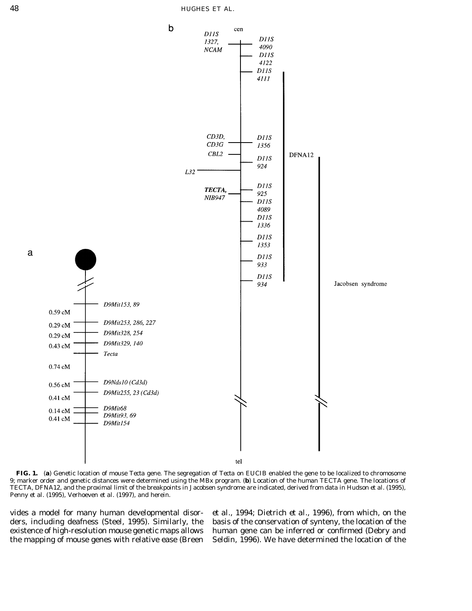

**FIG. 1.** (**a**) Genetic location of mouse *Tecta* gene. The segregation of *Tecta* on EUCIB enabled the gene to be localized to chromosome 9; marker order and genetic distances were determined using the MBx program. (**b**) Location of the human *TECTA* gene. The locations of *TECTA,* DFNA12, and the proximal limit of the breakpoints in Jacobsen syndrome are indicated, derived from data in Hudson *et al.* (1995), Penny *et al.* (1995), Verhoeven *et al.* (1997), and herein.

vides a model for many human developmental disor- *et al.,* 1994; Dietrich *et al.,* 1996), from which, on the ders, including deafness (Steel, 1995). Similarly, the basis of the conservation of synteny, the location of the existence of high-resolution mouse genetic maps allows human gene can be inferred or confirmed (Debry and the mapping of mouse genes with relative ease (Breen Seldin, 1996). We have determined the location of the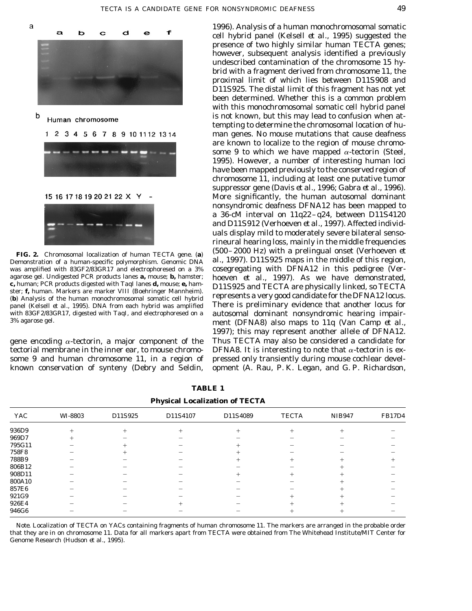

1996). Analysis of a human monochromosomal somatic cell hybrid panel (Kelsell *et al.,* 1995) suggested the presence of two highly similar human *TECTA* genes; however, subsequent analysis identified a previously undescribed contamination of the chromosome 15 hybrid with a fragment derived from chromosome 11, the proximal limit of which lies between *D11S908* and *D11S925.* The distal limit of this fragment has not yet been determined. Whether this is a common problem with this monochromosomal somatic cell hybrid panel is not known, but this may lead to confusion when attempting to determine the chromosomal location of human genes. No mouse mutations that cause deafness are known to localize to the region of mouse chromosome 9 to which we have mapped  $\alpha$ -tectorin (Steel, 1995). However, a number of interesting human loci have been mapped previously to the conserved region of chromosome 11, including at least one putative tumor suppressor gene (Davis *et al.,* 1996; Gabra *et al.,* 1996). More significantly, the human autosomal dominant nonsyndromic deafness DFNA12 has been mapped to a 36-cM interval on 11q22–q24, between *D11S4120* and *D11S912* (Verhoeven *et al.,* 1997). Affected individuals display mild to moderately severe bilateral sensorineural hearing loss, mainly in the middle frequencies (500–2000 Hz) with a prelingual onset (Verhoeven *et* **FIG. 2.** Chromosomal localization of human *TECTA* gene. (**a**) Demonstration of a human-specific polymorphism. Genomic DNA *al.*, 1997). *D11S925* maps in the middle of this region, was amplified with 83GF2/83GR17 and electrophoresed on a 3% cosegregating with DFNA12 in this pedigree was amplified with 83GF2/83GR17 and electrophoresed on a 3% cosegregating with DFNA12 in this pedigree (Ver-<br>agarose gel. Undigested PCR products lanes **a**, mouse; **b**, hamster; hoeven *et al.*, 1997). As we have demonstra agarose gel. Undigested PCR products lanes **a,** mouse; **b,** hamster; hoeven *et al.,* 1997). As we have demonstrated, **c,** human; PCR products digested with *Taq*I lanes **d,** mouse; **e,** ham- *D11S925* and *TECTA* are physically linked, so *TECTA* ster, **i**, human. Markers are marker VIII (boehringer Mannheim). represents a very good candidate for the DFNA12 locus.<br>(b) Analysis of the human monochromosomal somatic cell hybrid represents a very good candidate for the panel (Kelsell *et al.,* 1995). DNA from each hybrid was amplified There is preliminary evidence that another locus for with 83GF2/83GR17, digested with *Taq*I, and electrophoresed on a autosomal dominant nonsyndromic hearing impair-<br>3% agarose gel. ment (DFNA8) also maps to 11q (Van Camp *et al.,* 1997); this may represent another allele of DFNA12. gene encoding  $\alpha$ -tectorin, a major component of the Thus *TECTA* may also be considered a candidate for tectorial membrane in the inner ear, to mouse chromo- DFNA8. It is interesting to note that  $\alpha$ -tectorin is exsome 9 and human chromosome 11, in a region of pressed only transiently during mouse cochlear develknown conservation of synteny (Debry and Seldin, opment (A. Rau, P. K. Legan, and G. P. Richardson,

|              |         | $\cdot$ |          |          |              |               |               |
|--------------|---------|---------|----------|----------|--------------|---------------|---------------|
| YAC          | WI-8803 | D11S925 | D11S4107 | D11S4089 | <b>TECTA</b> | <b>NIB947</b> | <b>FB17D4</b> |
| 936D9        |         |         |          |          |              |               |               |
| 969D7        |         |         |          |          |              |               |               |
| 795G11       |         |         |          |          |              |               |               |
| <b>758F8</b> |         |         |          |          |              |               |               |
| 788B9        |         |         |          |          |              |               |               |
| 806B12       |         |         |          |          |              |               |               |
| 908D11       |         |         |          |          |              |               |               |
| 800A10       |         |         |          |          |              |               |               |
| 857E6        |         |         |          |          |              |               |               |
| 921G9        |         |         |          |          |              |               |               |
| 926E4        |         |         |          |          |              |               |               |
| 946G6        |         |         |          |          |              |               |               |
|              |         |         |          |          |              |               |               |

**TABLE 1 Physical Localization of** *TECTA*

*Note.* Localization of *TECTA* on YACs containing fragments of human chromosome 11. The markers are arranged in the probable order that they are in on chromosome 11. Data for all markers apart from *TECTA* were obtained from The Whitehead Institute/MIT Center for Genome Research (Hudson *et al.,* 1995).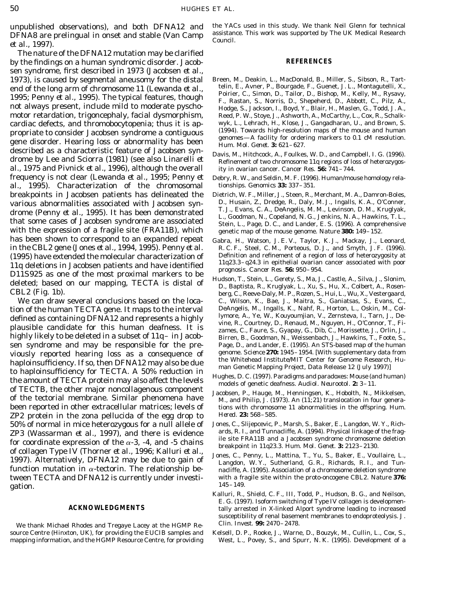DFNA8 are prelingual in onset and stable (Van Camp <sup>assistanc</sup> council. *et al.*, 1997).

The nature of the DFNA12 mutation may be clarified by the findings on a human syndromic disorder. Jacob- **REFERENCES** sen syndrome, first described in 1973 (Jacobsen *et al.,* 1973), is caused by segmental aneusomy for the distal Breen, M., Deakin, L., MacDonald, B., Miller, S., Sibson, R., Tart-<br>end of the long arm of chromosome 11 (Lewanda *et al* telin, E., Avner, P., Bourgade, F., Guenet, J propriate to consider Jacobsen syndrome a contiguous<br>gene disorder. Hearing loss or abnormality has been<br>described as a characteristic feature of Jacobsen syn-<br> $H_{um}$ . Mol. Genetic A S621-627.<br>Davis M. Uitchesl: A Guillea described as a characteristic feature of Jacobsen syn-<br>drome by Lee and Sciorra (1981) (see also Linarelli *et* Refinement of two chromosome 11q regions of loss of heterozygos*al.,* 1975 and Pivnick *et al.,* 1996), although the overall ity in ovarian cancer. *Cancer Res.* **56:** 741–744. frequency is not clear (Lewanda *et al.,* 1995; Penny *et* Debry, R. W., and Seldin, M. F. (1996). Human/mouse homology rela-<br>al. 1995). Characterization of the chromosomal tionships. *Genomics* **33:** 337–351. al., 1995). Characterization of the chromosomal breakpoints in Jacobsen patients has delineated the Dietrich, W. F., Miller, J., Steen, R., Merchant, M. A., Damron-Boles,<br>various abnormalities associated with Jacobsen syn- D., Husain, Z., Dredge, R., Daly, M. J., Ingall with the expression of a fragile site (*FRA11B*), which genetic map of the mouse genome. *Nature* **380:** 149–152. has been shown to correspond to an expanded repeat Gabra, H., Watson, J. E. V., Taylor, K. J., Mackay, J., Leonard, in the *CBL2* gene (Jones *et al.*, 1994, 1995). Penny *et al.* R. C. F., Steel, C. M., Porteous, D. J., a in the *CBL2* gene (Jones *et al.*, 1994, 1995). Penny *et al.* R. C. F., Steel, C. M., Porteous, D. J., and Smyth, J. F. (1996). (1996). (1996). (1996). (1996). (1996). (1995) have extended the molecular characterization of  $11q$  deletions in Jacobsen patients and have identified<br>11q deletions in Jacobsen patients and have identified<br>11q23.3-q24.3 in epithelial ovarian cancer associated

tion of the human *TECTA* gene. It maps to the interval beAngelis, M., Ingalls, K., Nahf, R., Horton, L., Oskin, M., Coldefined as containing DFNA12 and represents a highly likely to be deleted in a subset of 11q – in Jaco sen syndrome and may be responsible for the pre-<br>viously reported hearing loss as a consequence of genome *Science* 270: 1945–1954. [With supplementary data from viously reported hearing loss as a consequence of genome. *Science* **270:** 1945–1954. [With supplementary data from haploinsufficiency. If so, then DFNA12 may also be due<br>to haploinsufficiency for *TECTA*. A 50% reduction in<br>the amount of TECTA protein may also affect the levels<br>the district deafness. Audiol. Neurootol. 2: 3-11. of TECTB, the other major noncollagenous component<br>of the tectorial membrane. Similar phenomena have<br>M., and Philip, J. (1973). An (11;21) translocation in four genera-ZP2 protein in the zona pellucida of the egg drop to *Hered.* **23:** 568–585. 50% of normal in mice heterozygous for a null allele of Jones, C., Slijepcevic, P., Marsh, S., Baker, E., Langdon, W. Y., Rich-<br>ZP3 (Wassarman *et al* 1997) and there is evidence ards, R. I., and Tunnacliffe, A. (1994). Ph **ZP3** (Wassarman *et al.*, 1997), and there is evidence<br>for coordinate expression of the  $\alpha$ -3, -4, and -5 chains<br>of collagen Type IV (Thorner *et al.*, 1996; Kalluri *et al.*,<br>1997). Alternatively, DFNA12 may be due to 145–149. gation.

We thank Michael Rhodes and Tregaye Lacey at the HGMP Re- *Clin. Invest.* **99:** 2470–2478. source Centre (Hinxton, UK), for providing the EUCIB samples and Kelsell, D. P., Rooke, J., Warne, D., Bouzyk, M., Cullin, L., Cox, S.,

unpublished observations), and both DFNA12 and the YACs used in this study. We thank Neil Glenn for technical<br>DENA8 are prelingual in onset and stable (Van Camp) assistance. This work was supported by The UK Medical Resear

- end of the long arm of chromosome 11 (Lewanda *et al.,* telin, E., Avner, P., Bourgade, F., Guenet, J. L., Montagutelli, X.,<br>1995; Penny *et al.,* 1995). The typical features, though Poirier, C., Simon, D., Tailor, D., Bis motor retardation, trigoncephaly, facial dysmorphism, Reed, P. W., Stoye, J., Ashworth, A., McCarthy, L., Cox, R., Schalkcardiac defects, and thromobocytopenia; thus it is ap-<br>propriate to consider Lacobsen syndrome a contiguous (1994). Towards high-resolution maps of the mouse and human
	-
	-
- various abnormalities associated with Jacobsen syn-<br>drome (Bonny et el. 1905). It has been demonstrated T. J., Evans, C. A., DeAngelis, M. M., Levinson, D. M., Kruglyak, drome (Penny *et al.*, 1995). It has been demonstrated<br>that some cases of Jacobsen syndrome are associated<br>that some cases of Jacobsen syndrome are associated<br>tein, L., Page, D. C., and Lander, E. S. (1996). A comprehensiv
	-
	- We can draw several conclusions based on the loca- C., Wilson, K., Bae, J., Maitra, S., Ganiatsas, S., Evans, C.,<br>On of the human *TECTA* gene. It mans to the interval DeAngelis, M., Ingalls, K., Nahf, R., Horton, L., Oski Birren, B., Goodman, N., Weissenbach, J., Hawkins, T., Foote, S.,
		-
- been reported in other extracellular matrices; levels of tions with chromosome 11 abnormalities in the offspring. *Hum.* 
	-
- function mutation in  $\alpha$ -tectorin. The relationship be-<br>nacliffe, A. (1995). Association of a chromosome deletion syndrome tween *TECTA* and DFNA12 is currently under investi- with a fragile site within the proto-oncogene *CBL2. Nature* **376:**
	- Kalluri, R., Shield, C. F., III, Todd, P., Hudson, B. G., and Neilson, E. G. (1997). Isoform switching of Type IV collagen is developmen-**ACKNOWLEDGMENTS** tally arrested in X-linked Alport syndrome leading to increased susceptibility of renal basement membranes to endoproteolysis. *J.*
- mapping information, and the HGMP Resource Centre, for providing West, L., Povey, S., and Spurr, N. K. (1995). Development of a